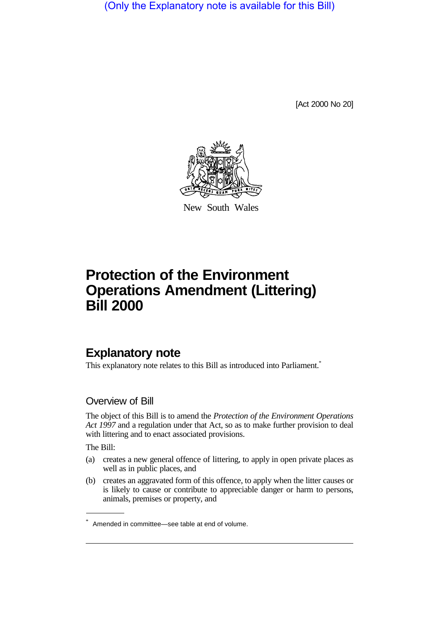(Only the Explanatory note is available for this Bill)

[Act 2000 No 20]



New South Wales

# **Protection of the Environment Operations Amendment (Littering) Bill 2000**

# **Explanatory note**

This explanatory note relates to this Bill as introduced into Parliament.<sup>\*</sup>

## Overview of Bill

The object of this Bill is to amend the *Protection of the Environment Operations Act 1997* and a regulation under that Act, so as to make further provision to deal with littering and to enact associated provisions.

The Bill:

- (a) creates a new general offence of littering, to apply in open private places as well as in public places, and
- (b) creates an aggravated form of this offence, to apply when the litter causes or is likely to cause or contribute to appreciable danger or harm to persons, animals, premises or property, and

<sup>\*</sup> Amended in committee—see table at end of volume.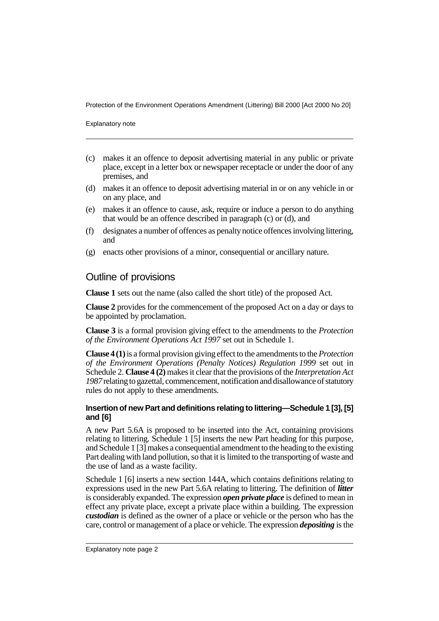Protection of the Environment Operations Amendment (Littering) Bill 2000 [Act 2000 No 20]

Explanatory note

- (c) makes it an offence to deposit advertising material in any public or private place, except in a letter box or newspaper receptacle or under the door of any premises, and
- (d) makes it an offence to deposit advertising material in or on any vehicle in or on any place, and
- (e) makes it an offence to cause, ask, require or induce a person to do anything that would be an offence described in paragraph (c) or (d), and
- (f) designates a number of offences as penalty notice offences involving littering, and
- (g) enacts other provisions of a minor, consequential or ancillary nature.

### Outline of provisions

**Clause 1** sets out the name (also called the short title) of the proposed Act.

**Clause 2** provides for the commencement of the proposed Act on a day or days to be appointed by proclamation.

**Clause 3** is a formal provision giving effect to the amendments to the *Protection of the Environment Operations Act 1997* set out in Schedule 1.

**Clause 4 (1)** is a formal provision giving effect to the amendments to the *Protection of the Environment Operations (Penalty Notices) Regulation 1999* set out in Schedule 2. **Clause 4 (2)** makes it clear that the provisions of the *Interpretation Act 1987* relating to gazettal, commencement, notification and disallowance of statutory rules do not apply to these amendments.

#### **Insertion of new Part and definitions relating to littering—Schedule 1 [3], [5] and [6]**

A new Part 5.6A is proposed to be inserted into the Act, containing provisions relating to littering. Schedule 1 [5] inserts the new Part heading for this purpose, and Schedule 1 [3] makes a consequential amendment to the heading to the existing Part dealing with land pollution, so that it is limited to the transporting of waste and the use of land as a waste facility.

Schedule 1 [6] inserts a new section 144A, which contains definitions relating to expressions used in the new Part 5.6A relating to littering. The definition of *litter* is considerably expanded. The expression *open private place* is defined to mean in effect any private place, except a private place within a building. The expression *custodian* is defined as the owner of a place or vehicle or the person who has the care, control or management of a place or vehicle. The expression *depositing* is the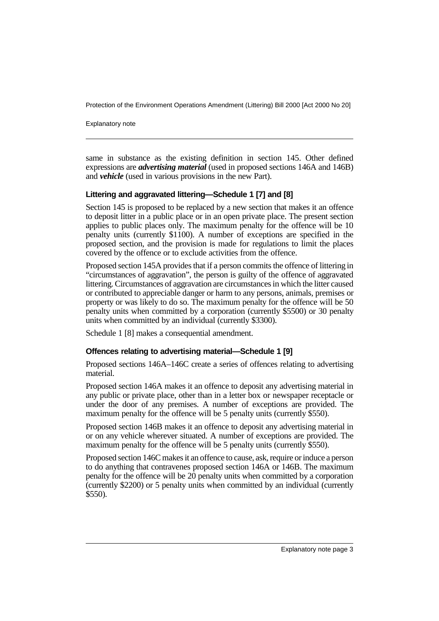Protection of the Environment Operations Amendment (Littering) Bill 2000 [Act 2000 No 20]

Explanatory note

same in substance as the existing definition in section 145. Other defined expressions are *advertising material* (used in proposed sections 146A and 146B) and *vehicle* (used in various provisions in the new Part).

#### **Littering and aggravated littering—Schedule 1 [7] and [8]**

Section 145 is proposed to be replaced by a new section that makes it an offence to deposit litter in a public place or in an open private place. The present section applies to public places only. The maximum penalty for the offence will be 10 penalty units (currently \$1100). A number of exceptions are specified in the proposed section, and the provision is made for regulations to limit the places covered by the offence or to exclude activities from the offence.

Proposed section 145A provides that if a person commits the offence of littering in "circumstances of aggravation", the person is guilty of the offence of aggravated littering. Circumstances of aggravation are circumstances in which the litter caused or contributed to appreciable danger or harm to any persons, animals, premises or property or was likely to do so. The maximum penalty for the offence will be 50 penalty units when committed by a corporation (currently \$5500) or 30 penalty units when committed by an individual (currently \$3300).

Schedule 1 [8] makes a consequential amendment.

#### **Offences relating to advertising material—Schedule 1 [9]**

Proposed sections 146A–146C create a series of offences relating to advertising material.

Proposed section 146A makes it an offence to deposit any advertising material in any public or private place, other than in a letter box or newspaper receptacle or under the door of any premises. A number of exceptions are provided. The maximum penalty for the offence will be 5 penalty units (currently \$550).

Proposed section 146B makes it an offence to deposit any advertising material in or on any vehicle wherever situated. A number of exceptions are provided. The maximum penalty for the offence will be 5 penalty units (currently \$550).

Proposed section 146C makes it an offence to cause, ask, require or induce a person to do anything that contravenes proposed section 146A or 146B. The maximum penalty for the offence will be 20 penalty units when committed by a corporation (currently \$2200) or 5 penalty units when committed by an individual (currently \$550).